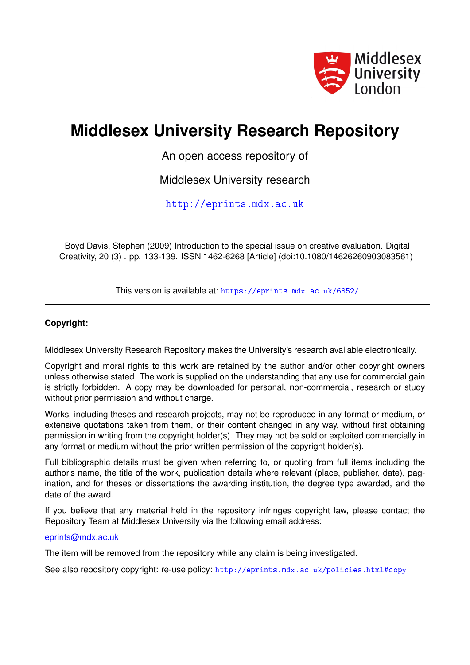

# **Middlesex University Research Repository**

An open access repository of

Middlesex University research

<http://eprints.mdx.ac.uk>

Boyd Davis, Stephen (2009) Introduction to the special issue on creative evaluation. Digital Creativity, 20 (3) . pp. 133-139. ISSN 1462-6268 [Article] (doi:10.1080/14626260903083561)

This version is available at: <https://eprints.mdx.ac.uk/6852/>

# **Copyright:**

Middlesex University Research Repository makes the University's research available electronically.

Copyright and moral rights to this work are retained by the author and/or other copyright owners unless otherwise stated. The work is supplied on the understanding that any use for commercial gain is strictly forbidden. A copy may be downloaded for personal, non-commercial, research or study without prior permission and without charge.

Works, including theses and research projects, may not be reproduced in any format or medium, or extensive quotations taken from them, or their content changed in any way, without first obtaining permission in writing from the copyright holder(s). They may not be sold or exploited commercially in any format or medium without the prior written permission of the copyright holder(s).

Full bibliographic details must be given when referring to, or quoting from full items including the author's name, the title of the work, publication details where relevant (place, publisher, date), pagination, and for theses or dissertations the awarding institution, the degree type awarded, and the date of the award.

If you believe that any material held in the repository infringes copyright law, please contact the Repository Team at Middlesex University via the following email address:

# [eprints@mdx.ac.uk](mailto:eprints@mdx.ac.uk)

The item will be removed from the repository while any claim is being investigated.

See also repository copyright: re-use policy: <http://eprints.mdx.ac.uk/policies.html#copy>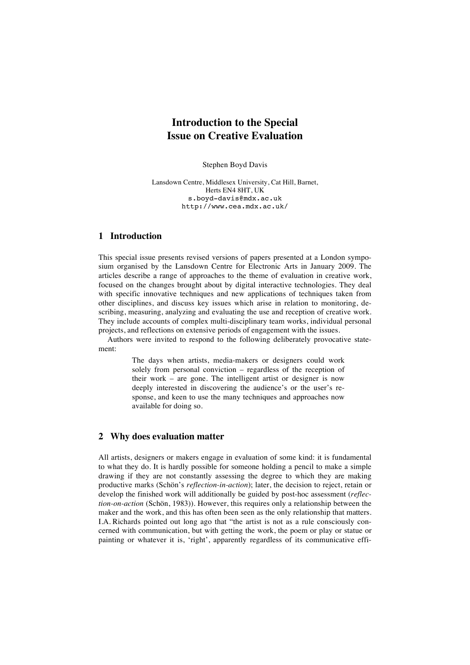# **Introduction to the Special Issue on Creative Evaluation**

Stephen Boyd Davis

Lansdown Centre, Middlesex University, Cat Hill, Barnet, Herts EN4 8HT, UK s.boyd-davis@mdx.ac.uk http://www.cea.mdx.ac.uk/

# **1 Introduction**

This special issue presents revised versions of papers presented at a London symposium organised by the Lansdown Centre for Electronic Arts in January 2009. The articles describe a range of approaches to the theme of evaluation in creative work, focused on the changes brought about by digital interactive technologies. They deal with specific innovative techniques and new applications of techniques taken from other disciplines, and discuss key issues which arise in relation to monitoring, describing, measuring, analyzing and evaluating the use and reception of creative work. They include accounts of complex multi-disciplinary team works, individual personal projects, and reflections on extensive periods of engagement with the issues.

Authors were invited to respond to the following deliberately provocative statement:

> The days when artists, media-makers or designers could work solely from personal conviction – regardless of the reception of their work – are gone. The intelligent artist or designer is now deeply interested in discovering the audience's or the user's response, and keen to use the many techniques and approaches now available for doing so.

# **2 Why does evaluation matter**

All artists, designers or makers engage in evaluation of some kind: it is fundamental to what they do. It is hardly possible for someone holding a pencil to make a simple drawing if they are not constantly assessing the degree to which they are making productive marks (Schön's *reflection-in-action*); later, the decision to reject, retain or develop the finished work will additionally be guided by post-hoc assessment (*reflection-on-action* (Schön, 1983)). However, this requires only a relationship between the maker and the work, and this has often been seen as the only relationship that matters. I.A. Richards pointed out long ago that "the artist is not as a rule consciously concerned with communication, but with getting the work, the poem or play or statue or painting or whatever it is, 'right', apparently regardless of its communicative effi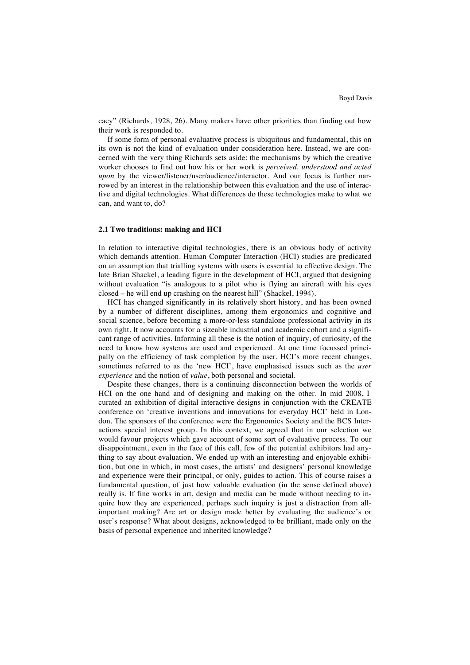cacy" (Richards, 1928, 26). Many makers have other priorities than finding out how their work is responded to.

If some form of personal evaluative process is ubiquitous and fundamental, this on its own is not the kind of evaluation under consideration here. Instead, we are concerned with the very thing Richards sets aside: the mechanisms by which the creative worker chooses to find out how his or her work is *perceived, understood and acted upon* by the viewer/listener/user/audience/interactor. And our focus is further narrowed by an interest in the relationship between this evaluation and the use of interactive and digital technologies. What differences do these technologies make to what we can, and want to, do?

#### **2.1 Two traditions: making and HCI**

In relation to interactive digital technologies, there is an obvious body of activity which demands attention. Human Computer Interaction (HCI) studies are predicated on an assumption that trialling systems with users is essential to effective design. The late Brian Shackel, a leading figure in the development of HCI, argued that designing without evaluation "is analogous to a pilot who is flying an aircraft with his eyes closed – he will end up crashing on the nearest hill" (Shackel, 1994).

HCI has changed significantly in its relatively short history, and has been owned by a number of different disciplines, among them ergonomics and cognitive and social science, before becoming a more-or-less standalone professional activity in its own right. It now accounts for a sizeable industrial and academic cohort and a significant range of activities. Informing all these is the notion of inquiry, of curiosity, of the need to know how systems are used and experienced. At one time focussed principally on the efficiency of task completion by the user, HCI's more recent changes, sometimes referred to as the 'new HCI', have emphasised issues such as the *user experience* and the notion of *value*, both personal and societal.

Despite these changes, there is a continuing disconnection between the worlds of HCI on the one hand and of designing and making on the other. In mid 2008, I curated an exhibition of digital interactive designs in conjunction with the CREATE conference on 'creative inventions and innovations for everyday HCI' held in London. The sponsors of the conference were the Ergonomics Society and the BCS Interactions special interest group. In this context, we agreed that in our selection we would favour projects which gave account of some sort of evaluative process. To our disappointment, even in the face of this call, few of the potential exhibitors had anything to say about evaluation. We ended up with an interesting and enjoyable exhibition, but one in which, in most cases, the artists' and designers' personal knowledge and experience were their principal, or only, guides to action. This of course raises a fundamental question, of just how valuable evaluation (in the sense defined above) really is. If fine works in art, design and media can be made without needing to inquire how they are experienced, perhaps such inquiry is just a distraction from allimportant making? Are art or design made better by evaluating the audience's or user's response? What about designs, acknowledged to be brilliant, made only on the basis of personal experience and inherited knowledge?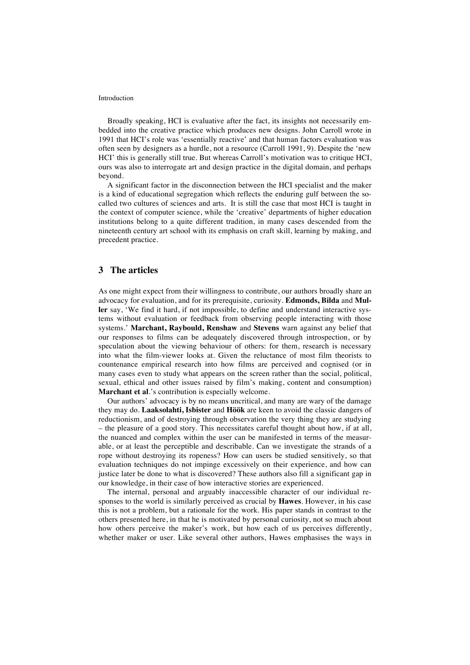Broadly speaking, HCI is evaluative after the fact, its insights not necessarily embedded into the creative practice which produces new designs. John Carroll wrote in 1991 that HCI's role was 'essentially reactive' and that human factors evaluation was often seen by designers as a hurdle, not a resource (Carroll 1991, 9). Despite the 'new HCI' this is generally still true. But whereas Carroll's motivation was to critique HCI, ours was also to interrogate art and design practice in the digital domain, and perhaps beyond.

A significant factor in the disconnection between the HCI specialist and the maker is a kind of educational segregation which reflects the enduring gulf between the socalled two cultures of sciences and arts. It is still the case that most HCI is taught in the context of computer science, while the 'creative' departments of higher education institutions belong to a quite different tradition, in many cases descended from the nineteenth century art school with its emphasis on craft skill, learning by making, and precedent practice.

# **3 The articles**

As one might expect from their willingness to contribute, our authors broadly share an advocacy for evaluation, and for its prerequisite, curiosity. **Edmonds, Bilda** and **Muller** say, 'We find it hard, if not impossible, to define and understand interactive systems without evaluation or feedback from observing people interacting with those systems.' **Marchant, Raybould, Renshaw** and **Stevens** warn against any belief that our responses to films can be adequately discovered through introspection, or by speculation about the viewing behaviour of others: for them, research is necessary into what the film-viewer looks at. Given the reluctance of most film theorists to countenance empirical research into how films are perceived and cognised (or in many cases even to study what appears on the screen rather than the social, political, sexual, ethical and other issues raised by film's making, content and consumption) **Marchant et al**.'s contribution is especially welcome.

Our authors' advocacy is by no means uncritical, and many are wary of the damage they may do. **Laaksolahti, Isbister** and **Höök** are keen to avoid the classic dangers of reductionism, and of destroying through observation the very thing they are studying – the pleasure of a good story. This necessitates careful thought about how, if at all, the nuanced and complex within the user can be manifested in terms of the measurable, or at least the perceptible and describable. Can we investigate the strands of a rope without destroying its ropeness? How can users be studied sensitively, so that evaluation techniques do not impinge excessively on their experience, and how can justice later be done to what is discovered? These authors also fill a significant gap in our knowledge, in their case of how interactive stories are experienced.

The internal, personal and arguably inaccessible character of our individual responses to the world is similarly perceived as crucial by **Hawes**. However, in his case this is not a problem, but a rationale for the work. His paper stands in contrast to the others presented here, in that he is motivated by personal curiosity, not so much about how others perceive the maker's work, but how each of us perceives differently, whether maker or user. Like several other authors, Hawes emphasises the ways in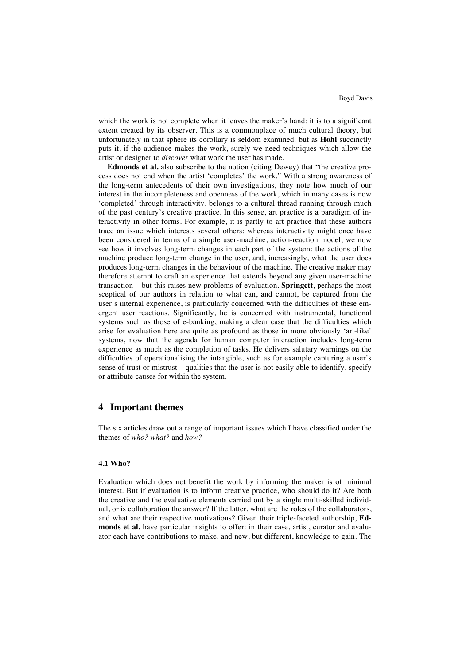which the work is not complete when it leaves the maker's hand: it is to a significant extent created by its observer. This is a commonplace of much cultural theory, but unfortunately in that sphere its corollary is seldom examined: but as **Hohl** succinctly puts it, if the audience makes the work, surely we need techniques which allow the artist or designer to *discover* what work the user has made.

**Edmonds et al.** also subscribe to the notion (citing Dewey) that "the creative process does not end when the artist 'completes' the work." With a strong awareness of the long-term antecedents of their own investigations, they note how much of our interest in the incompleteness and openness of the work, which in many cases is now 'completed' through interactivity, belongs to a cultural thread running through much of the past century's creative practice. In this sense, art practice is a paradigm of interactivity in other forms. For example, it is partly to art practice that these authors trace an issue which interests several others: whereas interactivity might once have been considered in terms of a simple user-machine, action-reaction model, we now see how it involves long-term changes in each part of the system: the actions of the machine produce long-term change in the user, and, increasingly, what the user does produces long-term changes in the behaviour of the machine. The creative maker may therefore attempt to craft an experience that extends beyond any given user-machine transaction – but this raises new problems of evaluation. **Springett**, perhaps the most sceptical of our authors in relation to what can, and cannot, be captured from the user's internal experience, is particularly concerned with the difficulties of these emergent user reactions. Significantly, he is concerned with instrumental, functional systems such as those of e-banking, making a clear case that the difficulties which arise for evaluation here are quite as profound as those in more obviously 'art-like' systems, now that the agenda for human computer interaction includes long-term experience as much as the completion of tasks. He delivers salutary warnings on the difficulties of operationalising the intangible, such as for example capturing a user's sense of trust or mistrust – qualities that the user is not easily able to identify, specify or attribute causes for within the system.

## **4 Important themes**

The six articles draw out a range of important issues which I have classified under the themes of *who? what?* and *how?*

## **4.1 Who?**

Evaluation which does not benefit the work by informing the maker is of minimal interest. But if evaluation is to inform creative practice, who should do it? Are both the creative and the evaluative elements carried out by a single multi-skilled individual, or is collaboration the answer? If the latter, what are the roles of the collaborators, and what are their respective motivations? Given their triple-faceted authorship, **Edmonds et al.** have particular insights to offer: in their case, artist, curator and evaluator each have contributions to make, and new, but different, knowledge to gain. The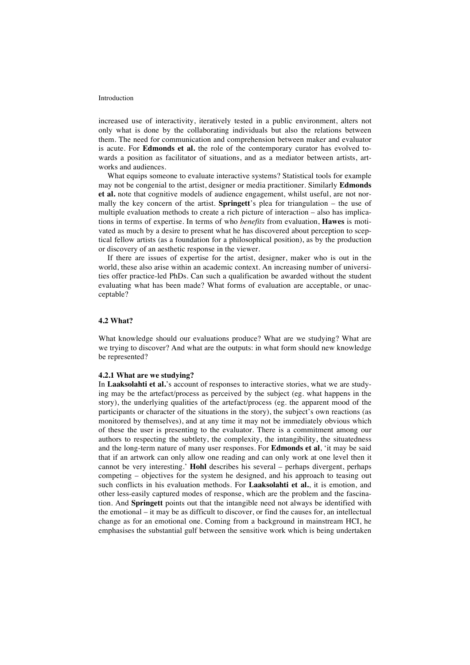increased use of interactivity, iteratively tested in a public environment, alters not only what is done by the collaborating individuals but also the relations between them. The need for communication and comprehension between maker and evaluator is acute. For **Edmonds et al.** the role of the contemporary curator has evolved towards a position as facilitator of situations, and as a mediator between artists, artworks and audiences.

What equips someone to evaluate interactive systems? Statistical tools for example may not be congenial to the artist, designer or media practitioner. Similarly **Edmonds et al.** note that cognitive models of audience engagement, whilst useful, are not normally the key concern of the artist. **Springett**'s plea for triangulation – the use of multiple evaluation methods to create a rich picture of interaction – also has implications in terms of expertise. In terms of who *benefits* from evaluation, **Hawes** is motivated as much by a desire to present what he has discovered about perception to sceptical fellow artists (as a foundation for a philosophical position), as by the production or discovery of an aesthetic response in the viewer.

If there are issues of expertise for the artist, designer, maker who is out in the world, these also arise within an academic context. An increasing number of universities offer practice-led PhDs. Can such a qualification be awarded without the student evaluating what has been made? What forms of evaluation are acceptable, or unacceptable?

### **4.2 What?**

What knowledge should our evaluations produce? What are we studying? What are we trying to discover? And what are the outputs: in what form should new knowledge be represented?

# **4.2.1 What are we studying?**

In **Laaksolahti et al.**'s account of responses to interactive stories, what we are studying may be the artefact/process as perceived by the subject (eg. what happens in the story), the underlying qualities of the artefact/process (eg. the apparent mood of the participants or character of the situations in the story), the subject's own reactions (as monitored by themselves), and at any time it may not be immediately obvious which of these the user is presenting to the evaluator. There is a commitment among our authors to respecting the subtlety, the complexity, the intangibility, the situatedness and the long-term nature of many user responses. For **Edmonds et al**, 'it may be said that if an artwork can only allow one reading and can only work at one level then it cannot be very interesting.' **Hohl** describes his several – perhaps divergent, perhaps competing – objectives for the system he designed, and his approach to teasing out such conflicts in his evaluation methods. For **Laaksolahti et al.**, it is emotion, and other less-easily captured modes of response, which are the problem and the fascination. And **Springett** points out that the intangible need not always be identified with the emotional – it may be as difficult to discover, or find the causes for, an intellectual change as for an emotional one. Coming from a background in mainstream HCI, he emphasises the substantial gulf between the sensitive work which is being undertaken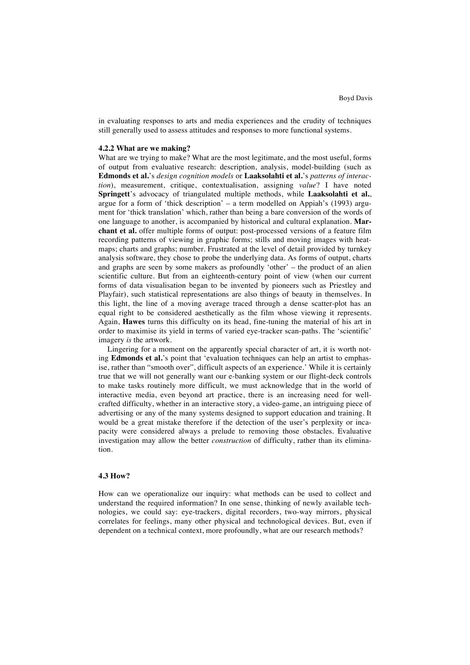Boyd Davis

in evaluating responses to arts and media experiences and the crudity of techniques still generally used to assess attitudes and responses to more functional systems.

#### **4.2.2 What are we making?**

What are we trying to make? What are the most legitimate, and the most useful, forms of output from evaluative research: description, analysis, model-building (such as **Edmonds et al.**'s *design cognition models* or **Laaksolahti et al.**'s *patterns of interaction*), measurement, critique, contextualisation, assigning *value*? I have noted **Springett**'s advocacy of triangulated multiple methods, while **Laaksolahti et al.**, argue for a form of 'thick description' – a term modelled on Appiah's (1993) argument for 'thick translation' which, rather than being a bare conversion of the words of one language to another, is accompanied by historical and cultural explanation. **Marchant et al.** offer multiple forms of output: post-processed versions of a feature film recording patterns of viewing in graphic forms; stills and moving images with heatmaps; charts and graphs; number. Frustrated at the level of detail provided by turnkey analysis software, they chose to probe the underlying data. As forms of output, charts and graphs are seen by some makers as profoundly 'other' – the product of an alien scientific culture. But from an eighteenth-century point of view (when our current forms of data visualisation began to be invented by pioneers such as Priestley and Playfair), such statistical representations are also things of beauty in themselves. In this light, the line of a moving average traced through a dense scatter-plot has an equal right to be considered aesthetically as the film whose viewing it represents. Again, **Hawes** turns this difficulty on its head, fine-tuning the material of his art in order to maximise its yield in terms of varied eye-tracker scan-paths. The 'scientific' imagery *is* the artwork.

Lingering for a moment on the apparently special character of art, it is worth noting **Edmonds et al.**'s point that 'evaluation techniques can help an artist to emphasise, rather than "smooth over", difficult aspects of an experience.' While it is certainly true that we will not generally want our e-banking system or our flight-deck controls to make tasks routinely more difficult, we must acknowledge that in the world of interactive media, even beyond art practice, there is an increasing need for wellcrafted difficulty, whether in an interactive story, a video-game, an intriguing piece of advertising or any of the many systems designed to support education and training. It would be a great mistake therefore if the detection of the user's perplexity or incapacity were considered always a prelude to removing those obstacles. Evaluative investigation may allow the better *construction* of difficulty, rather than its elimination.

#### **4.3 How?**

How can we operationalize our inquiry: what methods can be used to collect and understand the required information? In one sense, thinking of newly available technologies, we could say: eye-trackers, digital recorders, two-way mirrors, physical correlates for feelings, many other physical and technological devices. But, even if dependent on a technical context, more profoundly, what are our research methods?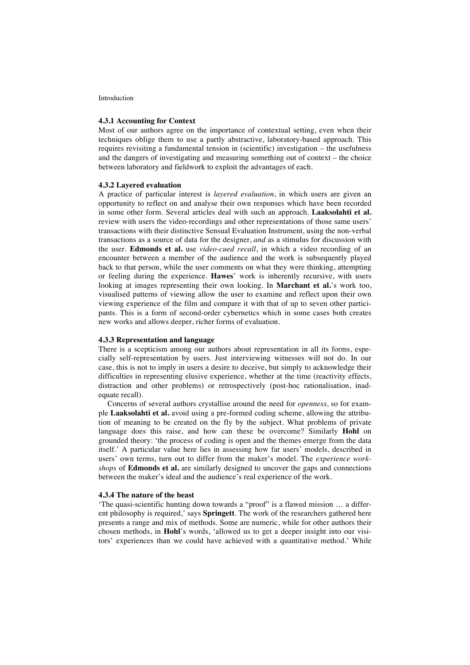#### **4.3.1 Accounting for Context**

Most of our authors agree on the importance of contextual setting, even when their techniques oblige them to use a partly abstractive, laboratory-based approach. This requires revisiting a fundamental tension in (scientific) investigation – the usefulness and the dangers of investigating and measuring something out of context – the choice between laboratory and fieldwork to exploit the advantages of each.

# **4.3.2 Layered evaluation**

A practice of particular interest is *layered evaluation*, in which users are given an opportunity to reflect on and analyse their own responses which have been recorded in some other form. Several articles deal with such an approach. **Laaksolahti et al.** review with users the video-recordings and other representations of those same users' transactions with their distinctive Sensual Evaluation Instrument, using the non-verbal transactions as a source of data for the designer, *and* as a stimulus for discussion with the user. **Edmonds et al.** use *video-cued recall*, in which a video recording of an encounter between a member of the audience and the work is subsequently played back to that person, while the user comments on what they were thinking, attempting or feeling during the experience. **Hawes**' work is inherently recursive, with users looking at images representing their own looking. In **Marchant et al.**'s work too, visualised patterns of viewing allow the user to examine and reflect upon their own viewing experience of the film and compare it with that of up to seven other participants. This is a form of second-order cybernetics which in some cases both creates new works and allows deeper, richer forms of evaluation.

### **4.3.3 Representation and language**

There is a scepticism among our authors about representation in all its forms, especially self-representation by users. Just interviewing witnesses will not do. In our case, this is not to imply in users a desire to deceive, but simply to acknowledge their difficulties in representing elusive experience, whether at the time (reactivity effects, distraction and other problems) or retrospectively (post-hoc rationalisation, inadequate recall).

Concerns of several authors crystallise around the need for *openness*, so for example **Laaksolahti et al.** avoid using a pre-formed coding scheme, allowing the attribution of meaning to be created on the fly by the subject. What problems of private language does this raise, and how can these be overcome? Similarly **Hohl** on grounded theory: 'the process of coding is open and the themes emerge from the data itself.' A particular value here lies in assessing how far users' models, described in users' own terms, turn out to differ from the maker's model. The *experience workshops* of **Edmonds et al.** are similarly designed to uncover the gaps and connections between the maker's ideal and the audience's real experience of the work.

#### **4.3.4 The nature of the beast**

'The quasi-scientific hunting down towards a "proof" is a flawed mission … a different philosophy is required,' says **Springett**. The work of the researchers gathered here presents a range and mix of methods. Some are numeric, while for other authors their chosen methods, in **Hohl**'s words, 'allowed us to get a deeper insight into our visitors' experiences than we could have achieved with a quantitative method.' While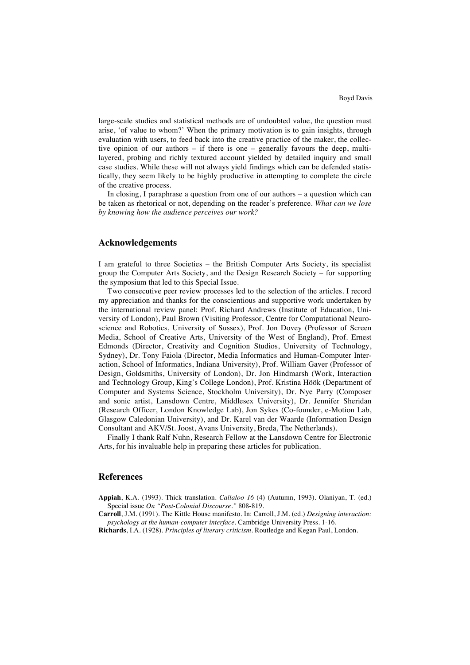large-scale studies and statistical methods are of undoubted value, the question must arise, 'of value to whom?' When the primary motivation is to gain insights, through evaluation with users, to feed back into the creative practice of the maker, the collective opinion of our authors – if there is one – generally favours the deep, multilayered, probing and richly textured account yielded by detailed inquiry and small case studies. While these will not always yield findings which can be defended statistically, they seem likely to be highly productive in attempting to complete the circle of the creative process.

In closing, I paraphrase a question from one of our authors – a question which can be taken as rhetorical or not, depending on the reader's preference. *What can we lose by knowing how the audience perceives our work?*

## **Acknowledgements**

I am grateful to three Societies – the British Computer Arts Society, its specialist group the Computer Arts Society, and the Design Research Society – for supporting the symposium that led to this Special Issue.

Two consecutive peer review processes led to the selection of the articles. I record my appreciation and thanks for the conscientious and supportive work undertaken by the international review panel: Prof. Richard Andrews (Institute of Education, University of London), Paul Brown (Visiting Professor, Centre for Computational Neuroscience and Robotics, University of Sussex), Prof. Jon Dovey (Professor of Screen Media, School of Creative Arts, University of the West of England), Prof. Ernest Edmonds (Director, Creativity and Cognition Studios, University of Technology, Sydney), Dr. Tony Faiola (Director, Media Informatics and Human-Computer Interaction, School of Informatics, Indiana University), Prof. William Gaver (Professor of Design, Goldsmiths, University of London), Dr. Jon Hindmarsh (Work, Interaction and Technology Group, King's College London), Prof. Kristina Höök (Department of Computer and Systems Science, Stockholm University), Dr. Nye Parry (Composer and sonic artist, Lansdown Centre, Middlesex University), Dr. Jennifer Sheridan (Research Officer, London Knowledge Lab), Jon Sykes (Co-founder, e-Motion Lab, Glasgow Caledonian University), and Dr. Karel van der Waarde (Information Design Consultant and AKV/St. Joost, Avans University, Breda, The Netherlands).

Finally I thank Ralf Nuhn, Research Fellow at the Lansdown Centre for Electronic Arts, for his invaluable help in preparing these articles for publication.

# **References**

**Appiah**, K.A. (1993). Thick translation. *Callaloo 16* (4) (Autumn, 1993). Olaniyan, T. (ed.) Special issue *On "Post-Colonial Discourse."* 808-819.

**Carroll**, J.M. (1991). The Kittle House manifesto. In: Carroll, J.M. (ed.) *Designing interaction: psychology at the human-computer interface.* Cambridge University Press. 1-16.

**Richards**, I.A. (1928). *Principles of literary criticism*. Routledge and Kegan Paul, London.